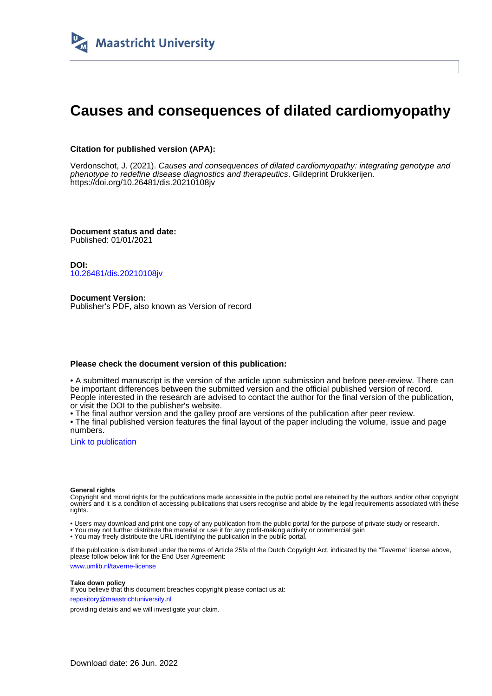

# **Causes and consequences of dilated cardiomyopathy**

### **Citation for published version (APA):**

Verdonschot, J. (2021). Causes and consequences of dilated cardiomyopathy: integrating genotype and phenotype to redefine disease diagnostics and therapeutics. Gildeprint Drukkerijen. <https://doi.org/10.26481/dis.20210108jv>

**Document status and date:** Published: 01/01/2021

**DOI:** [10.26481/dis.20210108jv](https://doi.org/10.26481/dis.20210108jv)

**Document Version:** Publisher's PDF, also known as Version of record

#### **Please check the document version of this publication:**

• A submitted manuscript is the version of the article upon submission and before peer-review. There can be important differences between the submitted version and the official published version of record. People interested in the research are advised to contact the author for the final version of the publication, or visit the DOI to the publisher's website.

• The final author version and the galley proof are versions of the publication after peer review.

• The final published version features the final layout of the paper including the volume, issue and page numbers.

[Link to publication](https://cris.maastrichtuniversity.nl/en/publications/d1b94ba3-5585-4290-9982-17c7f12baa5b)

#### **General rights**

Copyright and moral rights for the publications made accessible in the public portal are retained by the authors and/or other copyright owners and it is a condition of accessing publications that users recognise and abide by the legal requirements associated with these rights.

• Users may download and print one copy of any publication from the public portal for the purpose of private study or research.

• You may not further distribute the material or use it for any profit-making activity or commercial gain

• You may freely distribute the URL identifying the publication in the public portal.

If the publication is distributed under the terms of Article 25fa of the Dutch Copyright Act, indicated by the "Taverne" license above, please follow below link for the End User Agreement:

www.umlib.nl/taverne-license

#### **Take down policy**

If you believe that this document breaches copyright please contact us at: repository@maastrichtuniversity.nl

providing details and we will investigate your claim.